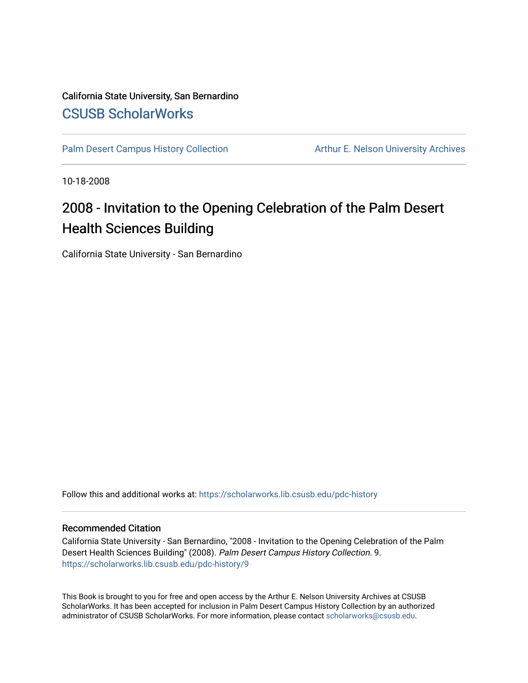## California State University, San Bernardino [CSUSB ScholarWorks](https://scholarworks.lib.csusb.edu/)

[Palm Desert Campus History Collection](https://scholarworks.lib.csusb.edu/pdc-history) Arthur E. Nelson University Archives

10-18-2008

## 2008 - Invitation to the Opening Celebration of the Palm Desert Health Sciences Building

California State University - San Bernardino

Follow this and additional works at: [https://scholarworks.lib.csusb.edu/pdc-history](https://scholarworks.lib.csusb.edu/pdc-history?utm_source=scholarworks.lib.csusb.edu%2Fpdc-history%2F9&utm_medium=PDF&utm_campaign=PDFCoverPages)

## Recommended Citation

California State University - San Bernardino, "2008 - Invitation to the Opening Celebration of the Palm Desert Health Sciences Building" (2008). Palm Desert Campus History Collection. 9. [https://scholarworks.lib.csusb.edu/pdc-history/9](https://scholarworks.lib.csusb.edu/pdc-history/9?utm_source=scholarworks.lib.csusb.edu%2Fpdc-history%2F9&utm_medium=PDF&utm_campaign=PDFCoverPages) 

This Book is brought to you for free and open access by the Arthur E. Nelson University Archives at CSUSB ScholarWorks. It has been accepted for inclusion in Palm Desert Campus History Collection by an authorized administrator of CSUSB ScholarWorks. For more information, please contact [scholarworks@csusb.edu](mailto:scholarworks@csusb.edu).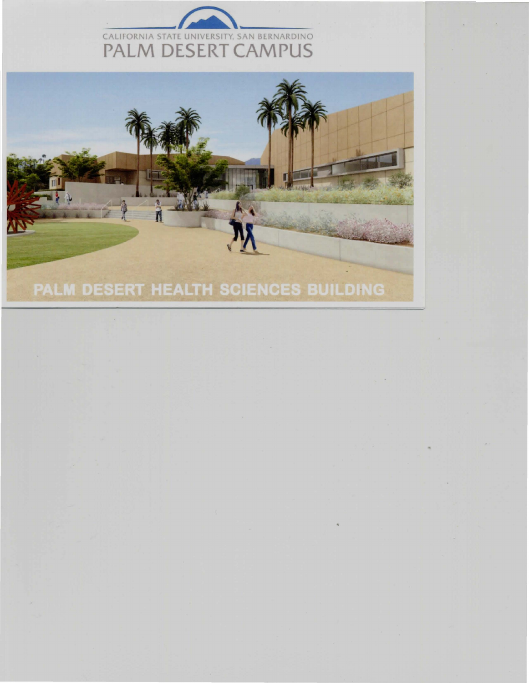